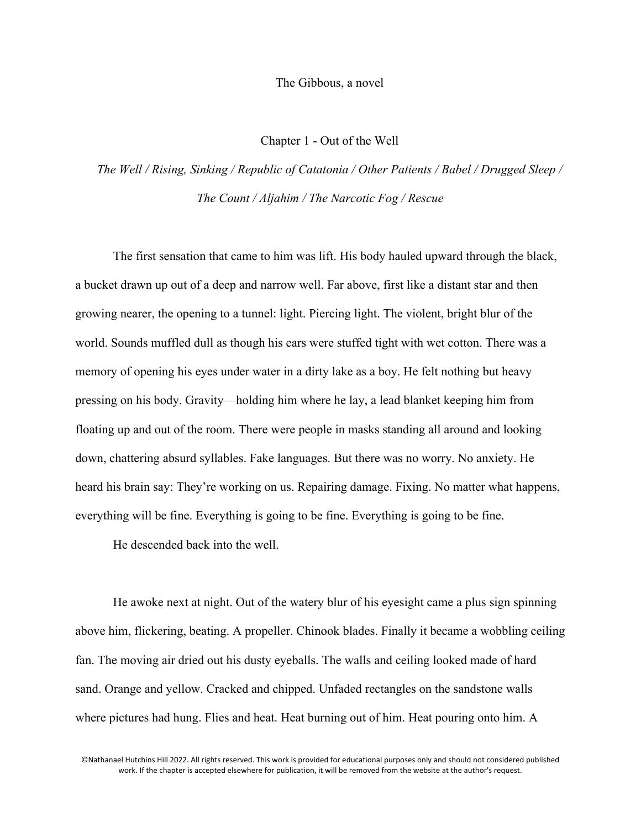The Gibbous, a novel

Chapter 1 - Out of the Well

*The Well / Rising, Sinking / Republic of Catatonia / Other Patients / Babel / Drugged Sleep / The Count / Aljahim / The Narcotic Fog / Rescue*

The first sensation that came to him was lift. His body hauled upward through the black, a bucket drawn up out of a deep and narrow well. Far above, first like a distant star and then growing nearer, the opening to a tunnel: light. Piercing light. The violent, bright blur of the world. Sounds muffled dull as though his ears were stuffed tight with wet cotton. There was a memory of opening his eyes under water in a dirty lake as a boy. He felt nothing but heavy pressing on his body. Gravity—holding him where he lay, a lead blanket keeping him from floating up and out of the room. There were people in masks standing all around and looking down, chattering absurd syllables. Fake languages. But there was no worry. No anxiety. He heard his brain say: They're working on us. Repairing damage. Fixing. No matter what happens, everything will be fine. Everything is going to be fine. Everything is going to be fine.

He descended back into the well.

He awoke next at night. Out of the watery blur of his eyesight came a plus sign spinning above him, flickering, beating. A propeller. Chinook blades. Finally it became a wobbling ceiling fan. The moving air dried out his dusty eyeballs. The walls and ceiling looked made of hard sand. Orange and yellow. Cracked and chipped. Unfaded rectangles on the sandstone walls where pictures had hung. Flies and heat. Heat burning out of him. Heat pouring onto him. A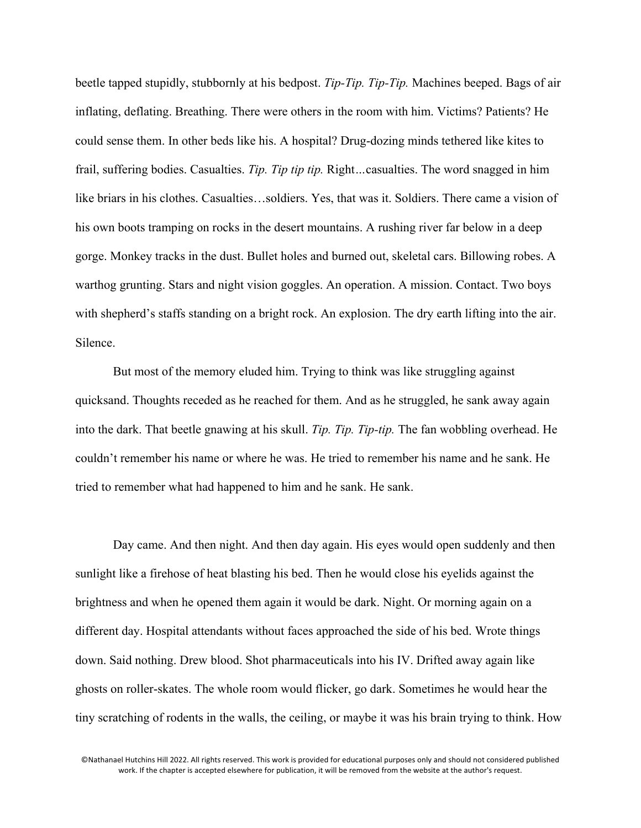beetle tapped stupidly, stubbornly at his bedpost. *Tip-Tip. Tip-Tip.* Machines beeped. Bags of air inflating, deflating. Breathing. There were others in the room with him. Victims? Patients? He could sense them. In other beds like his. A hospital? Drug-dozing minds tethered like kites to frail, suffering bodies. Casualties. *Tip. Tip tip tip.* Right*…*casualties. The word snagged in him like briars in his clothes. Casualties…soldiers. Yes, that was it. Soldiers. There came a vision of his own boots tramping on rocks in the desert mountains. A rushing river far below in a deep gorge. Monkey tracks in the dust. Bullet holes and burned out, skeletal cars. Billowing robes. A warthog grunting. Stars and night vision goggles. An operation. A mission. Contact. Two boys with shepherd's staffs standing on a bright rock. An explosion. The dry earth lifting into the air. Silence.

But most of the memory eluded him. Trying to think was like struggling against quicksand. Thoughts receded as he reached for them. And as he struggled, he sank away again into the dark. That beetle gnawing at his skull. *Tip. Tip. Tip-tip.* The fan wobbling overhead. He couldn't remember his name or where he was. He tried to remember his name and he sank. He tried to remember what had happened to him and he sank. He sank.

Day came. And then night. And then day again. His eyes would open suddenly and then sunlight like a firehose of heat blasting his bed. Then he would close his eyelids against the brightness and when he opened them again it would be dark. Night. Or morning again on a different day. Hospital attendants without faces approached the side of his bed. Wrote things down. Said nothing. Drew blood. Shot pharmaceuticals into his IV. Drifted away again like ghosts on roller-skates. The whole room would flicker, go dark. Sometimes he would hear the tiny scratching of rodents in the walls, the ceiling, or maybe it was his brain trying to think. How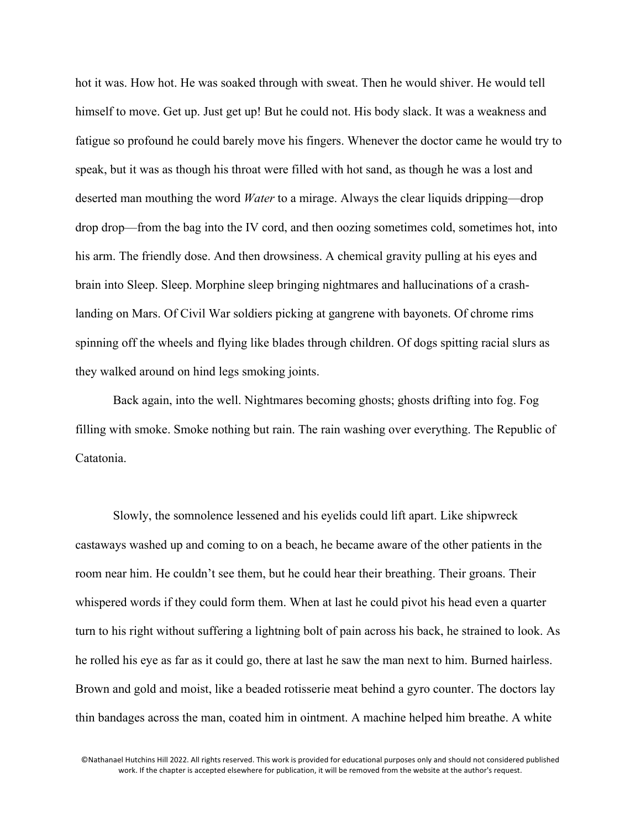hot it was. How hot. He was soaked through with sweat. Then he would shiver. He would tell himself to move. Get up. Just get up! But he could not. His body slack. It was a weakness and fatigue so profound he could barely move his fingers. Whenever the doctor came he would try to speak, but it was as though his throat were filled with hot sand, as though he was a lost and deserted man mouthing the word *Water* to a mirage. Always the clear liquids dripping—drop drop drop—from the bag into the IV cord, and then oozing sometimes cold, sometimes hot, into his arm. The friendly dose. And then drowsiness. A chemical gravity pulling at his eyes and brain into Sleep. Sleep. Morphine sleep bringing nightmares and hallucinations of a crashlanding on Mars. Of Civil War soldiers picking at gangrene with bayonets. Of chrome rims spinning off the wheels and flying like blades through children. Of dogs spitting racial slurs as they walked around on hind legs smoking joints.

Back again, into the well. Nightmares becoming ghosts; ghosts drifting into fog. Fog filling with smoke. Smoke nothing but rain. The rain washing over everything. The Republic of Catatonia.

Slowly, the somnolence lessened and his eyelids could lift apart. Like shipwreck castaways washed up and coming to on a beach, he became aware of the other patients in the room near him. He couldn't see them, but he could hear their breathing. Their groans. Their whispered words if they could form them. When at last he could pivot his head even a quarter turn to his right without suffering a lightning bolt of pain across his back, he strained to look. As he rolled his eye as far as it could go, there at last he saw the man next to him. Burned hairless. Brown and gold and moist, like a beaded rotisserie meat behind a gyro counter. The doctors lay thin bandages across the man, coated him in ointment. A machine helped him breathe. A white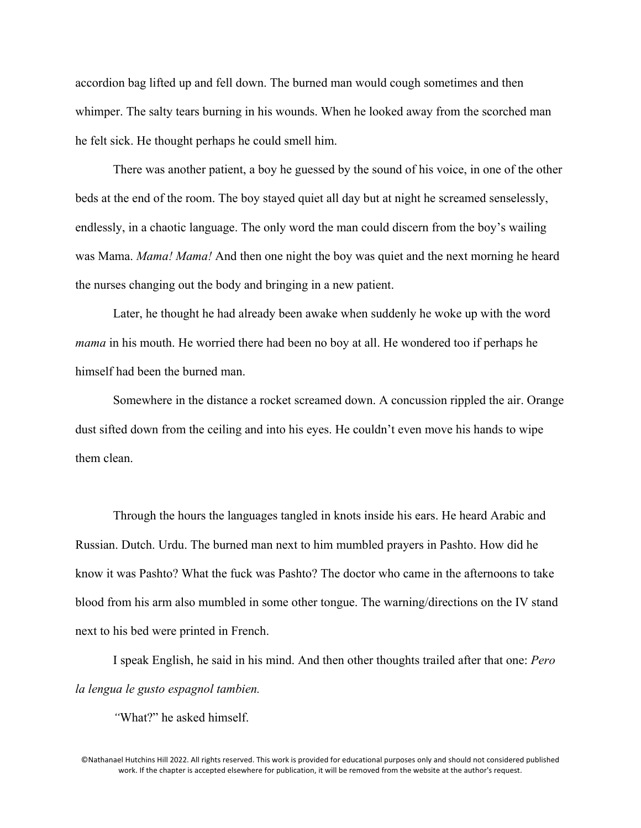accordion bag lifted up and fell down. The burned man would cough sometimes and then whimper. The salty tears burning in his wounds. When he looked away from the scorched man he felt sick. He thought perhaps he could smell him.

There was another patient, a boy he guessed by the sound of his voice, in one of the other beds at the end of the room. The boy stayed quiet all day but at night he screamed senselessly, endlessly, in a chaotic language. The only word the man could discern from the boy's wailing was Mama. *Mama! Mama!* And then one night the boy was quiet and the next morning he heard the nurses changing out the body and bringing in a new patient.

Later, he thought he had already been awake when suddenly he woke up with the word *mama* in his mouth. He worried there had been no boy at all. He wondered too if perhaps he himself had been the burned man.

Somewhere in the distance a rocket screamed down. A concussion rippled the air. Orange dust sifted down from the ceiling and into his eyes. He couldn't even move his hands to wipe them clean.

Through the hours the languages tangled in knots inside his ears. He heard Arabic and Russian. Dutch. Urdu. The burned man next to him mumbled prayers in Pashto. How did he know it was Pashto? What the fuck was Pashto? The doctor who came in the afternoons to take blood from his arm also mumbled in some other tongue. The warning/directions on the IV stand next to his bed were printed in French.

I speak English, he said in his mind. And then other thoughts trailed after that one: *Pero la lengua le gusto espagnol tambien.* 

*"*What?" he asked himself.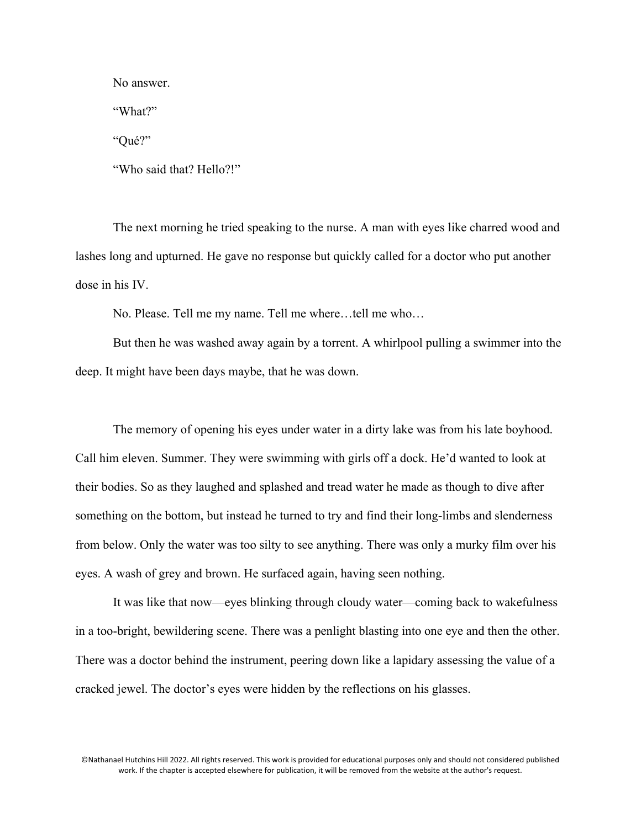No answer.

"What?"

"Qué?"

"Who said that? Hello?!"

The next morning he tried speaking to the nurse. A man with eyes like charred wood and lashes long and upturned. He gave no response but quickly called for a doctor who put another dose in his IV.

No. Please. Tell me my name. Tell me where…tell me who…

But then he was washed away again by a torrent. A whirlpool pulling a swimmer into the deep. It might have been days maybe, that he was down.

The memory of opening his eyes under water in a dirty lake was from his late boyhood. Call him eleven. Summer. They were swimming with girls off a dock. He'd wanted to look at their bodies. So as they laughed and splashed and tread water he made as though to dive after something on the bottom, but instead he turned to try and find their long-limbs and slenderness from below. Only the water was too silty to see anything. There was only a murky film over his eyes. A wash of grey and brown. He surfaced again, having seen nothing.

It was like that now—eyes blinking through cloudy water—coming back to wakefulness in a too-bright, bewildering scene. There was a penlight blasting into one eye and then the other. There was a doctor behind the instrument, peering down like a lapidary assessing the value of a cracked jewel. The doctor's eyes were hidden by the reflections on his glasses.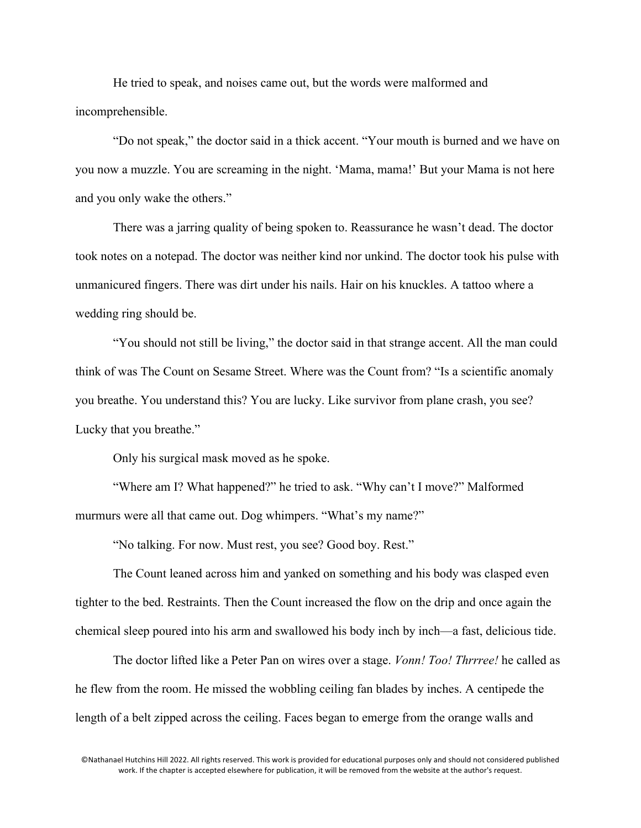He tried to speak, and noises came out, but the words were malformed and incomprehensible.

"Do not speak," the doctor said in a thick accent. "Your mouth is burned and we have on you now a muzzle. You are screaming in the night. 'Mama, mama!' But your Mama is not here and you only wake the others."

There was a jarring quality of being spoken to. Reassurance he wasn't dead. The doctor took notes on a notepad. The doctor was neither kind nor unkind. The doctor took his pulse with unmanicured fingers. There was dirt under his nails. Hair on his knuckles. A tattoo where a wedding ring should be.

"You should not still be living," the doctor said in that strange accent. All the man could think of was The Count on Sesame Street. Where was the Count from? "Is a scientific anomaly you breathe. You understand this? You are lucky. Like survivor from plane crash, you see? Lucky that you breathe."

Only his surgical mask moved as he spoke.

"Where am I? What happened?" he tried to ask. "Why can't I move?" Malformed murmurs were all that came out. Dog whimpers. "What's my name?"

"No talking. For now. Must rest, you see? Good boy. Rest."

The Count leaned across him and yanked on something and his body was clasped even tighter to the bed. Restraints. Then the Count increased the flow on the drip and once again the chemical sleep poured into his arm and swallowed his body inch by inch—a fast, delicious tide.

The doctor lifted like a Peter Pan on wires over a stage. *Vonn! Too! Thrrree!* he called as he flew from the room. He missed the wobbling ceiling fan blades by inches. A centipede the length of a belt zipped across the ceiling. Faces began to emerge from the orange walls and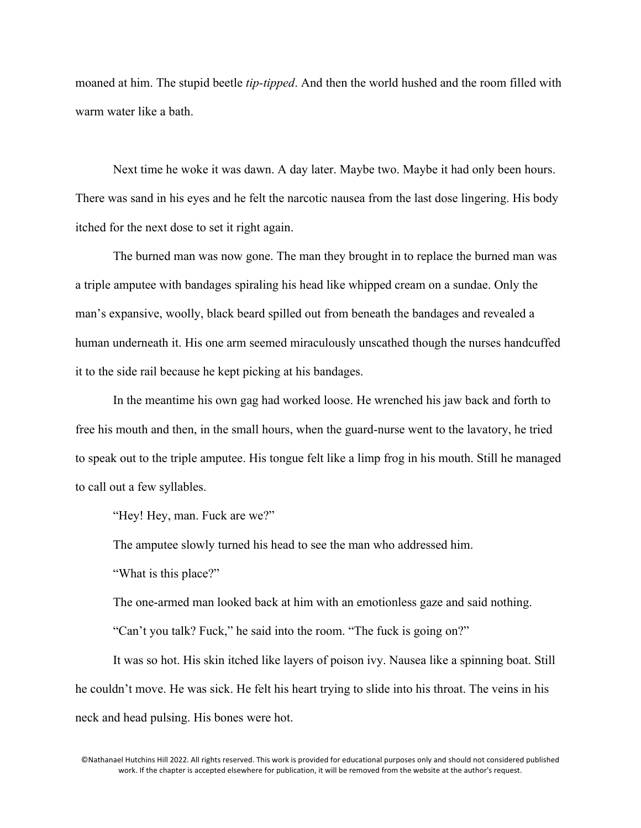moaned at him. The stupid beetle *tip-tipped*. And then the world hushed and the room filled with warm water like a bath.

Next time he woke it was dawn. A day later. Maybe two. Maybe it had only been hours. There was sand in his eyes and he felt the narcotic nausea from the last dose lingering. His body itched for the next dose to set it right again.

The burned man was now gone. The man they brought in to replace the burned man was a triple amputee with bandages spiraling his head like whipped cream on a sundae. Only the man's expansive, woolly, black beard spilled out from beneath the bandages and revealed a human underneath it. His one arm seemed miraculously unscathed though the nurses handcuffed it to the side rail because he kept picking at his bandages.

In the meantime his own gag had worked loose. He wrenched his jaw back and forth to free his mouth and then, in the small hours, when the guard-nurse went to the lavatory, he tried to speak out to the triple amputee. His tongue felt like a limp frog in his mouth. Still he managed to call out a few syllables.

"Hey! Hey, man. Fuck are we?"

The amputee slowly turned his head to see the man who addressed him.

"What is this place?"

The one-armed man looked back at him with an emotionless gaze and said nothing.

"Can't you talk? Fuck," he said into the room. "The fuck is going on?"

It was so hot. His skin itched like layers of poison ivy. Nausea like a spinning boat. Still he couldn't move. He was sick. He felt his heart trying to slide into his throat. The veins in his neck and head pulsing. His bones were hot.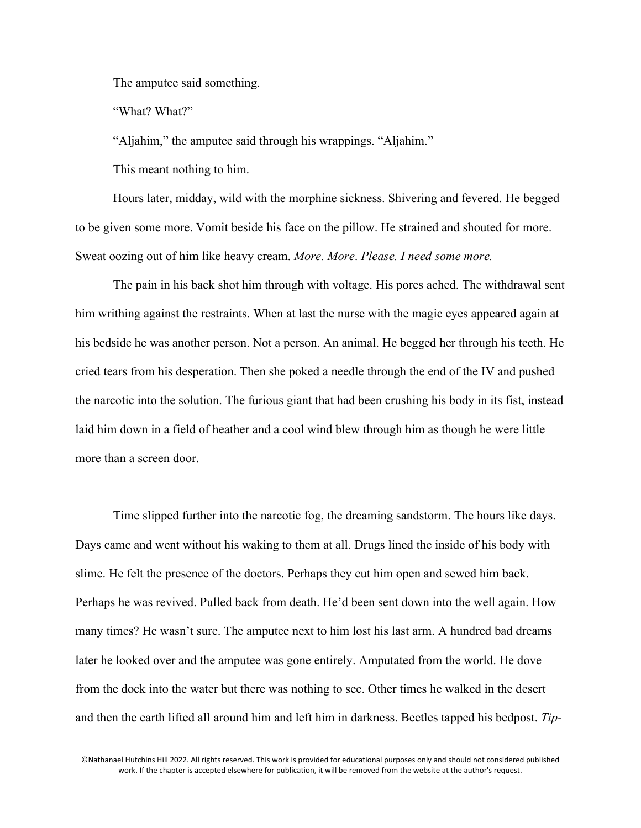The amputee said something.

"What? What?"

"Aljahim," the amputee said through his wrappings. "Aljahim."

This meant nothing to him.

Hours later, midday, wild with the morphine sickness. Shivering and fevered. He begged to be given some more. Vomit beside his face on the pillow. He strained and shouted for more. Sweat oozing out of him like heavy cream. *More. More*. *Please. I need some more.*

The pain in his back shot him through with voltage. His pores ached. The withdrawal sent him writhing against the restraints. When at last the nurse with the magic eyes appeared again at his bedside he was another person. Not a person. An animal. He begged her through his teeth. He cried tears from his desperation. Then she poked a needle through the end of the IV and pushed the narcotic into the solution. The furious giant that had been crushing his body in its fist, instead laid him down in a field of heather and a cool wind blew through him as though he were little more than a screen door.

Time slipped further into the narcotic fog, the dreaming sandstorm. The hours like days. Days came and went without his waking to them at all. Drugs lined the inside of his body with slime. He felt the presence of the doctors. Perhaps they cut him open and sewed him back. Perhaps he was revived. Pulled back from death. He'd been sent down into the well again. How many times? He wasn't sure. The amputee next to him lost his last arm. A hundred bad dreams later he looked over and the amputee was gone entirely. Amputated from the world. He dove from the dock into the water but there was nothing to see. Other times he walked in the desert and then the earth lifted all around him and left him in darkness. Beetles tapped his bedpost. *Tip-*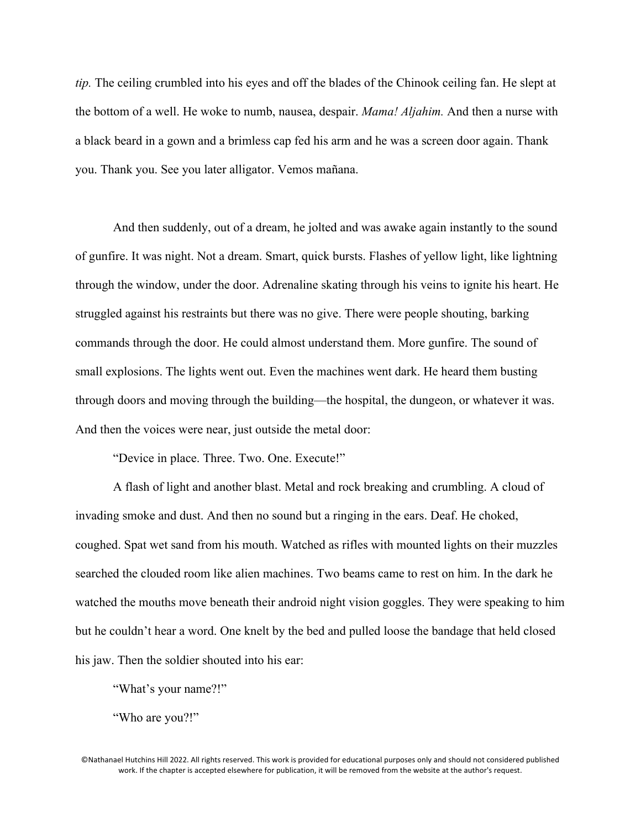*tip.* The ceiling crumbled into his eyes and off the blades of the Chinook ceiling fan. He slept at the bottom of a well. He woke to numb, nausea, despair. *Mama! Aljahim.* And then a nurse with a black beard in a gown and a brimless cap fed his arm and he was a screen door again. Thank you. Thank you. See you later alligator. Vemos mañana.

And then suddenly, out of a dream, he jolted and was awake again instantly to the sound of gunfire. It was night. Not a dream. Smart, quick bursts. Flashes of yellow light, like lightning through the window, under the door. Adrenaline skating through his veins to ignite his heart. He struggled against his restraints but there was no give. There were people shouting, barking commands through the door. He could almost understand them. More gunfire. The sound of small explosions. The lights went out. Even the machines went dark. He heard them busting through doors and moving through the building—the hospital, the dungeon, or whatever it was. And then the voices were near, just outside the metal door:

"Device in place. Three. Two. One. Execute!"

A flash of light and another blast. Metal and rock breaking and crumbling. A cloud of invading smoke and dust. And then no sound but a ringing in the ears. Deaf. He choked, coughed. Spat wet sand from his mouth. Watched as rifles with mounted lights on their muzzles searched the clouded room like alien machines. Two beams came to rest on him. In the dark he watched the mouths move beneath their android night vision goggles. They were speaking to him but he couldn't hear a word. One knelt by the bed and pulled loose the bandage that held closed his jaw. Then the soldier shouted into his ear:

"What's your name?!"

"Who are you?!"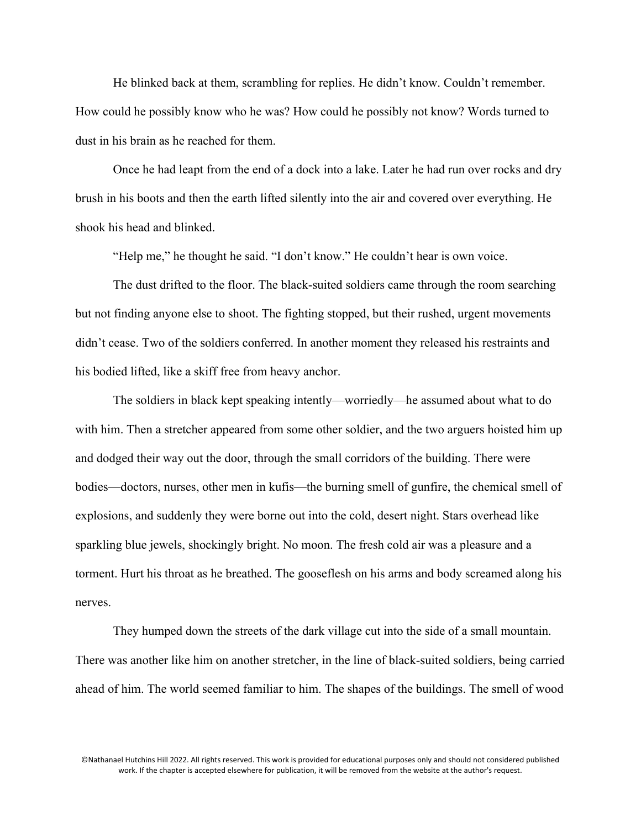He blinked back at them, scrambling for replies. He didn't know. Couldn't remember. How could he possibly know who he was? How could he possibly not know? Words turned to dust in his brain as he reached for them.

Once he had leapt from the end of a dock into a lake. Later he had run over rocks and dry brush in his boots and then the earth lifted silently into the air and covered over everything. He shook his head and blinked.

"Help me," he thought he said. "I don't know." He couldn't hear is own voice.

The dust drifted to the floor. The black-suited soldiers came through the room searching but not finding anyone else to shoot. The fighting stopped, but their rushed, urgent movements didn't cease. Two of the soldiers conferred. In another moment they released his restraints and his bodied lifted, like a skiff free from heavy anchor.

The soldiers in black kept speaking intently—worriedly—he assumed about what to do with him. Then a stretcher appeared from some other soldier, and the two arguers hoisted him up and dodged their way out the door, through the small corridors of the building. There were bodies—doctors, nurses, other men in kufis—the burning smell of gunfire, the chemical smell of explosions, and suddenly they were borne out into the cold, desert night. Stars overhead like sparkling blue jewels, shockingly bright. No moon. The fresh cold air was a pleasure and a torment. Hurt his throat as he breathed. The gooseflesh on his arms and body screamed along his nerves.

They humped down the streets of the dark village cut into the side of a small mountain. There was another like him on another stretcher, in the line of black-suited soldiers, being carried ahead of him. The world seemed familiar to him. The shapes of the buildings. The smell of wood